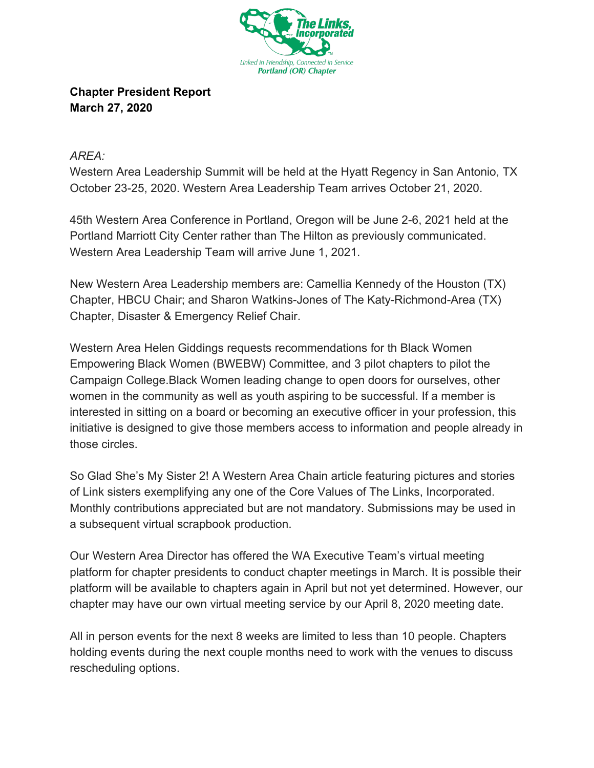

**Chapter President Report March 27, 2020**

*AREA:*

Western Area Leadership Summit will be held at the Hyatt Regency in San Antonio, TX October 23-25, 2020. Western Area Leadership Team arrives October 21, 2020.

45th Western Area Conference in Portland, Oregon will be June 2-6, 2021 held at the Portland Marriott City Center rather than The Hilton as previously communicated. Western Area Leadership Team will arrive June 1, 2021.

New Western Area Leadership members are: Camellia Kennedy of the Houston (TX) Chapter, HBCU Chair; and Sharon Watkins-Jones of The Katy-Richmond-Area (TX) Chapter, Disaster & Emergency Relief Chair.

Western Area Helen Giddings requests recommendations for th Black Women Empowering Black Women (BWEBW) Committee, and 3 pilot chapters to pilot the Campaign College.Black Women leading change to open doors for ourselves, other women in the community as well as youth aspiring to be successful. If a member is interested in sitting on a board or becoming an executive officer in your profession, this initiative is designed to give those members access to information and people already in those circles.

So Glad She's My Sister 2! A Western Area Chain article featuring pictures and stories of Link sisters exemplifying any one of the Core Values of The Links, Incorporated. Monthly contributions appreciated but are not mandatory. Submissions may be used in a subsequent virtual scrapbook production.

Our Western Area Director has offered the WA Executive Team's virtual meeting platform for chapter presidents to conduct chapter meetings in March. It is possible their platform will be available to chapters again in April but not yet determined. However, our chapter may have our own virtual meeting service by our April 8, 2020 meeting date.

All in person events for the next 8 weeks are limited to less than 10 people. Chapters holding events during the next couple months need to work with the venues to discuss rescheduling options.